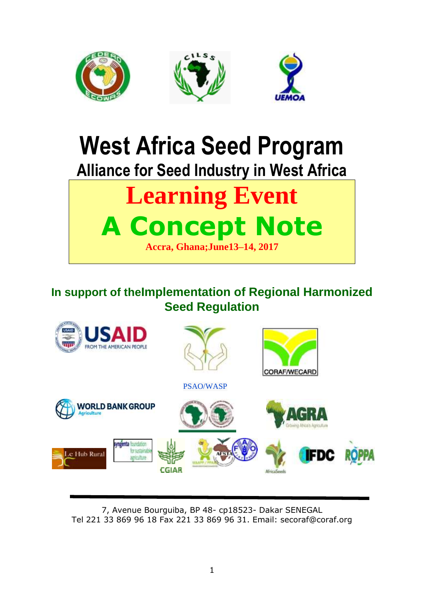

# **West Africa Seed Program Alliance for Seed Industry in West Africa**

## **Learning Event A Concept Note Accra, Ghana;June13–14, 2017**

## **In support of theImplementation of Regional Harmonized Seed Regulation**



7, Avenue Bourguiba, BP 48- cp18523- Dakar SENEGAL Tel 221 33 869 96 18 Fax 221 33 869 96 31. Email: secoraf@coraf.org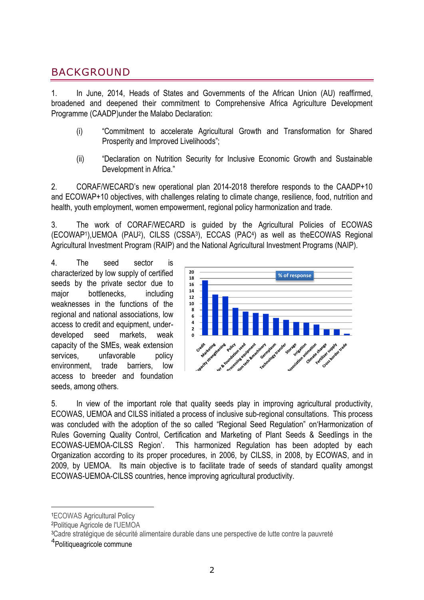## BACKGROUND

1. In June, 2014, Heads of States and Governments of the African Union (AU) reaffirmed, broadened and deepened their commitment to Comprehensive Africa Agriculture Development Programme (CAADP)under the Malabo Declaration:

- (i) "Commitment to accelerate Agricultural Growth and Transformation for Shared Prosperity and Improved Livelihoods";
- (ii) "Declaration on Nutrition Security for Inclusive Economic Growth and Sustainable Development in Africa."

2. CORAF/WECARD"s new operational plan 2014-2018 therefore responds to the CAADP+10 and ECOWAP+10 objectives, with challenges relating to climate change, resilience, food, nutrition and health, youth employment, women empowerment, regional policy harmonization and trade.

3. The work of CORAF/WECARD is guided by the Agricultural Policies of ECOWAS (ECOWAP<sup>1</sup> ),UEMOA (PAU<sup>2</sup> ), CILSS (CSSA<sup>3</sup> ), ECCAS (PAC<sup>4</sup> ) as well as theECOWAS Regional Agricultural Investment Program (RAIP) and the National Agricultural Investment Programs (NAIP).

4. The seed sector is characterized by low supply of certified seeds by the private sector due to major bottlenecks, including weaknesses in the functions of the regional and national associations, low access to credit and equipment, underdeveloped seed markets, weak capacity of the SMEs, weak extension services. unfavorable policy environment, trade barriers, low access to breeder and foundation seeds, among others.



5. In view of the important role that quality seeds play in improving agricultural productivity, ECOWAS, UEMOA and CILSS initiated a process of inclusive sub-regional consultations. This process was concluded with the adoption of the so called "Regional Seed Regulation" on"Harmonization of Rules Governing Quality Control, Certification and Marketing of Plant Seeds & Seedlings in the ECOWAS-UEMOA-CILSS Region". This harmonized Regulation has been adopted by each Organization according to its proper procedures, in 2006, by CILSS, in 2008, by ECOWAS, and in 2009, by UEMOA. Its main objective is to facilitate trade of seeds of standard quality amongst ECOWAS-UEMOA-CILSS countries, hence improving agricultural productivity.

-

<sup>1</sup>ECOWAS Agricultural Policy

<sup>2</sup>Politique Agricole de l'UEMOA

<sup>&</sup>lt;sup>3</sup>Cadre stratégique de sécurité alimentaire durable dans une perspective de lutte contre la pauvreté

<sup>4</sup> Politiqueagricole commune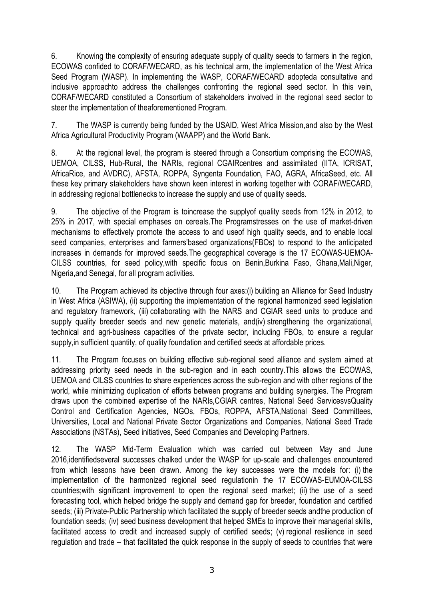6. Knowing the complexity of ensuring adequate supply of quality seeds to farmers in the region, ECOWAS confided to CORAF/WECARD, as his technical arm, the implementation of the West Africa Seed Program (WASP). In implementing the WASP, CORAF/WECARD adopteda consultative and inclusive approachto address the challenges confronting the regional seed sector. In this vein, CORAF/WECARD constituted a Consortium of stakeholders involved in the regional seed sector to steer the implementation of theaforementioned Program.

7. The WASP is currently being funded by the USAID, West Africa Mission,and also by the West Africa Agricultural Productivity Program (WAAPP) and the World Bank.

8. At the regional level, the program is steered through a Consortium comprising the ECOWAS, UEMOA, CILSS, Hub-Rural, the NARIs, regional CGAIRcentres and assimilated (IITA, ICRISAT, AfricaRice, and AVDRC), AFSTA, ROPPA, Syngenta Foundation, FAO, AGRA, AfricaSeed, etc. All these key primary stakeholders have shown keen interest in working together with CORAF/WECARD, in addressing regional bottlenecks to increase the supply and use of quality seeds.

9. The objective of the Program is toincrease the supplyof quality seeds from 12% in 2012, to 25% in 2017, with special emphases on cereals.The Programstresses on the use of market-driven mechanisms to effectively promote the access to and useof high quality seeds, and to enable local seed companies, enterprises and farmers"based organizations(FBOs) to respond to the anticipated increases in demands for improved seeds.The geographical coverage is the 17 ECOWAS-UEMOA-CILSS countries, for seed policy,with specific focus on Benin,Burkina Faso, Ghana,Mali,Niger, Nigeria,and Senegal, for all program activities.

10. The Program achieved its objective through four axes:(i) building an Alliance for Seed Industry in West Africa (ASIWA), (ii) supporting the implementation of the regional harmonized seed legislation and regulatory framework, (iii) collaborating with the NARS and CGIAR seed units to produce and supply quality breeder seeds and new genetic materials, and(iv) strengthening the organizational, technical and agri-business capacities of the private sector, including FBOs, to ensure a regular supply,in sufficient quantity, of quality foundation and certified seeds at affordable prices.

11. The Program focuses on building effective sub-regional seed alliance and system aimed at addressing priority seed needs in the sub-region and in each country.This allows the ECOWAS, UEMOA and CILSS countries to share experiences across the sub-region and with other regions of the world, while minimizing duplication of efforts between programs and building synergies. The Program draws upon the combined expertise of the NARIs,CGIAR centres, National Seed ServicesvsQuality Control and Certification Agencies, NGOs, FBOs, ROPPA, AFSTA,National Seed Committees, Universities, Local and National Private Sector Organizations and Companies, National Seed Trade Associations (NSTAs), Seed initiatives, Seed Companies and Developing Partners.

12. The WASP Mid-Term Evaluation which was carried out between May and June 2016,identifiedseveral successes chalked under the WASP for up-scale and challenges encountered from which lessons have been drawn. Among the key successes were the models for: (i) the implementation of the harmonized regional seed regulationin the 17 ECOWAS-EUMOA-CILSS countries;with significant improvement to open the regional seed market; (ii) the use of a seed forecasting tool, which helped bridge the supply and demand gap for breeder, foundation and certified seeds; (iii) Private-Public Partnership which facilitated the supply of breeder seeds andthe production of foundation seeds; (iv) seed business development that helped SMEs to improve their managerial skills, facilitated access to credit and increased supply of certified seeds; (v) regional resilience in seed regulation and trade – that facilitated the quick response in the supply of seeds to countries that were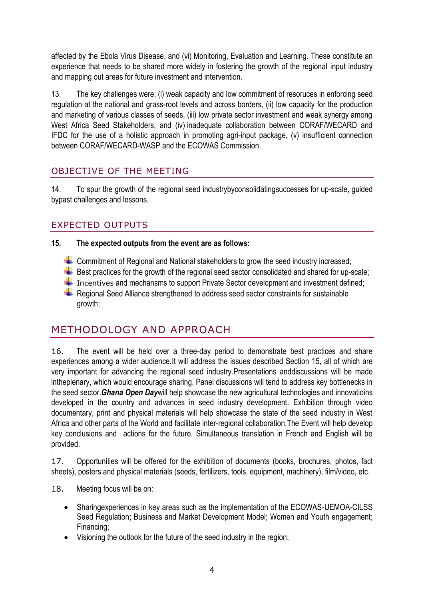affected by the Ebola Virus Disease, and (vi) Monitoring, Evaluation and Learning. These constitute an experience that needs to be shared more widely in fostering the growth of the regional input industry and mapping out areas for future investment and intervention.

13. The key challenges were: (i) weak capacity and low commitment of resoruces in enforcing seed regulation at the national and grass-root levels and across borders, (ii) low capacity for the production and marketing of various classes of seeds, (iii) low private sector investment and weak synergy among West Africa Seed Stakeholders, and (iv) inadequate collaboration between CORAF/WECARD and IFDC for the use of a holistic approach in promoting agri-input package, (v) insufficient connection between CORAF/WECARD-WASP and the ECOWAS Commission.

### OBJECTIVE OF THE MEETING

14. To spur the growth of the regional seed industrybyconsolidatingsuccesses for up-scale, guided bypast challenges and lessons.

#### EXPECTED OUTPUTS

#### **15. The expected outputs from the event are as follows:**

- $\blacktriangleright$  Commitment of Regional and National stakeholders to grow the seed industry increased;
- $\overline{\phantom{a}+}$  Best practices for the growth of the regional seed sector consolidated and shared for up-scale;
- $\blacksquare$  Incentives and mechansms to support Private Sector development and investment defined;
- $\overline{\textbf{+}}$  Regional Seed Alliance strengthened to address seed sector constraints for sustainable growth;

## METHODOLOGY AND APPROACH

16. The event will be held over a three-day period to demonstrate best practices and share experiences among a wider audience.It will address the issues described Section 15, all of which are very important for advancing the regional seed industry.Presentations anddiscussions will be made intheplenary, which would encourage sharing. Panel discussions will tend to address key bottlenecks in the seed sector.*Ghana Open Day*will help showcase the new agricultural technologies and innovatioins developed in the country and advances in seed industry development. Exhibition through video documentary, print and physical materials will help showcase the state of the seed industry in West Africa and other parts of the World and facilitate inter-regional collaboration.The Event will help develop key conclusions and actions for the future. Simultaneous translation in French and English will be provided.

17. Opportunities will be offered for the exhibition of documents (books, brochures, photos, fact sheets), posters and physical materials (seeds, fertilizers, tools, equipment, machinery), film/video, etc.

- 18. Meeting focus will be on:
	- Sharingexperiences in key areas such as the implementation of the ECOWAS-UEMOA-CILSS Seed Regulation; Business and Market Development Model; Women and Youth engagement; Financing;
	- Visioning the outlook for the future of the seed industry in the region;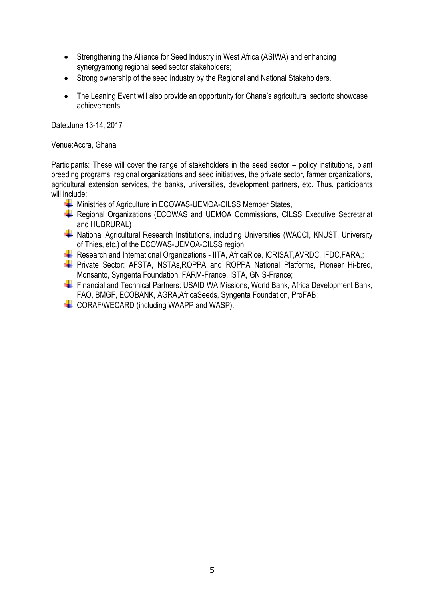- Strengthening the Alliance for Seed Industry in West Africa (ASIWA) and enhancing synergyamong regional seed sector stakeholders;
- Strong ownership of the seed industry by the Regional and National Stakeholders.
- The Leaning Event will also provide an opportunity for Ghana's agricultural sectorto showcase achievements.

Date:June 13-14, 2017

Venue:Accra, Ghana

Participants: These will cover the range of stakeholders in the seed sector – policy institutions, plant breeding programs, regional organizations and seed initiatives, the private sector, farmer organizations, agricultural extension services, the banks, universities, development partners, etc. Thus, participants will include:

- Ministries of Agriculture in ECOWAS-UEMOA-CILSS Member States,
- Regional Organizations (ECOWAS and UEMOA Commissions, CILSS Executive Secretariat and HUBRURAL)
- **A** National Agricultural Research Institutions, including Universities (WACCI, KNUST, University of Thies, etc.) of the ECOWAS-UEMOA-CILSS region;
- Research and International Organizations IITA, AfricaRice, ICRISAT, AVRDC, IFDC, FARA,:
- **+** Private Sector: AFSTA, NSTAs, ROPPA and ROPPA National Platforms, Pioneer Hi-bred, Monsanto, Syngenta Foundation, FARM-France, ISTA, GNIS-France;
- Financial and Technical Partners: USAID WA Missions, World Bank, Africa Development Bank, FAO, BMGF, ECOBANK, AGRA,AfricaSeeds, Syngenta Foundation, ProFAB;
- CORAF/WECARD (including WAAPP and WASP).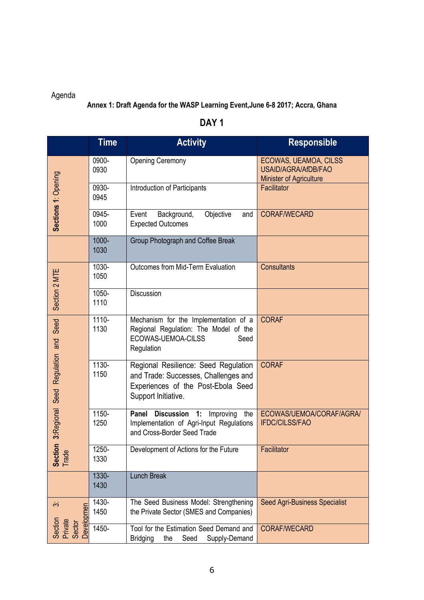## Agenda

#### **Annex 1: Draft Agenda for the WASP Learning Event,June 6-8 2017; Accra, Ghana**

|                                     | <b>Time</b>   | <b>Activity</b>                                                                                                                           | <b>Responsible</b>                                                      |
|-------------------------------------|---------------|-------------------------------------------------------------------------------------------------------------------------------------------|-------------------------------------------------------------------------|
|                                     | 0900-<br>0930 | <b>Opening Ceremony</b>                                                                                                                   | ECOWAS, UEAMOA, CILSS<br>USAID/AGRA/AfDB/FAO<br>Minister of Agriculture |
| Sections 1: Opening                 | 0930-<br>0945 | Introduction of Participants                                                                                                              | Facilitator                                                             |
|                                     | 0945-<br>1000 | Objective<br>Event<br>Background,<br>and<br><b>Expected Outcomes</b>                                                                      | <b>CORAF/WECARD</b>                                                     |
|                                     | 1000-<br>1030 | Group Photograph and Coffee Break                                                                                                         |                                                                         |
|                                     | 1030-<br>1050 | Outcomes from Mid-Term Evaluation                                                                                                         | <b>Consultants</b>                                                      |
| Section 2 MTE                       | 1050-<br>1110 | <b>Discussion</b>                                                                                                                         |                                                                         |
| Seed                                | 1110-<br>1130 | Mechanism for the Implementation of a<br>Regional Regulation: The Model of the<br>ECOWAS-UEMOA-CILSS<br>Seed<br>Regulation                | <b>CORAF</b>                                                            |
| tion 3:Regional Seed Regulation and | 1130-<br>1150 | Regional Resilience: Seed Regulation<br>and Trade: Successes, Challenges and<br>Experiences of the Post-Ebola Seed<br>Support Initiative. | <b>CORAF</b>                                                            |
|                                     | 1150-<br>1250 | Discussion 1:<br>Panel<br>the<br>Improving<br>Implementation of Agri-Input Regulations<br>and Cross-Border Seed Trade                     | ECOWAS/UEMOA/CORAF/AGRA/<br><b>IFDC/CILSS/FAO</b>                       |
| $\frac{e}{2}$<br>Sed<br>Tra         | 1250-<br>1330 | Development of Actions for the Future                                                                                                     | Facilitator                                                             |
|                                     | 1330-<br>1430 | <b>Lunch Break</b>                                                                                                                        |                                                                         |
| $\dot{\infty}$<br><b>Developmen</b> | 1430-<br>1450 | The Seed Business Model: Strengthening<br>the Private Sector (SMES and Companies)                                                         | <b>Seed Agri-Business Specialist</b>                                    |
| Section<br>Private<br>Sector        | 1450-         | Tool for the Estimation Seed Demand and<br><b>Bridging</b><br>the<br>Seed<br>Supply-Demand                                                | <b>CORAF/WECARD</b>                                                     |

## **DAY 1**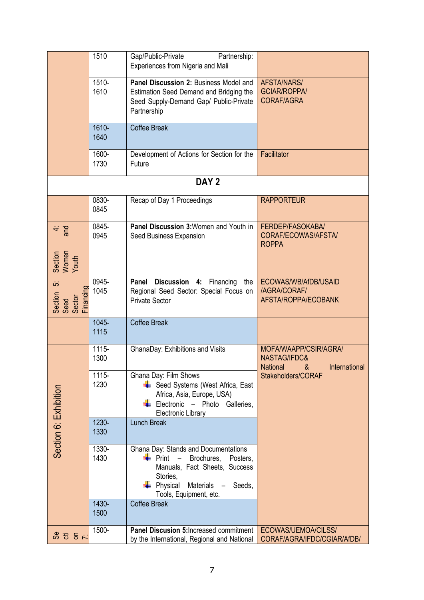|                                                 | 1510             | Gap/Public-Private<br>Partnership:<br>Experiences from Nigeria and Mali                                                                                                           |                                                                                |  |  |  |  |
|-------------------------------------------------|------------------|-----------------------------------------------------------------------------------------------------------------------------------------------------------------------------------|--------------------------------------------------------------------------------|--|--|--|--|
|                                                 | 1510-<br>1610    | Panel Discussion 2: Business Model and<br>Estimation Seed Demand and Bridging the<br>Seed Supply-Demand Gap/ Public-Private<br>Partnership                                        | AFSTA/NARS/<br><b>GCIAR/ROPPA/</b><br><b>CORAF/AGRA</b>                        |  |  |  |  |
|                                                 | $1610 -$<br>1640 | <b>Coffee Break</b>                                                                                                                                                               |                                                                                |  |  |  |  |
|                                                 | 1600-<br>1730    | Development of Actions for Section for the<br>Future                                                                                                                              | Facilitator                                                                    |  |  |  |  |
| DAY <sub>2</sub>                                |                  |                                                                                                                                                                                   |                                                                                |  |  |  |  |
|                                                 | 0830-<br>0845    | Recap of Day 1 Proceedings                                                                                                                                                        | <b>RAPPORTEUR</b>                                                              |  |  |  |  |
| $rac{4}{3}$                                     | 0845-<br>0945    | Panel Discussion 3: Women and Youth in<br>Seed Business Expansion                                                                                                                 | FERDEP/FASOKABA/<br>CORAF/ECOWAS/AFSTA/<br><b>ROPPA</b>                        |  |  |  |  |
| Section<br>Women<br>Youth                       |                  |                                                                                                                                                                                   |                                                                                |  |  |  |  |
| άż<br>Section<br>Seed<br>Financing<br>Financing | 0945-<br>1045    | Discussion 4:<br>Panel<br>Financing<br>the<br>Regional Seed Sector: Special Focus on<br><b>Private Sector</b>                                                                     | ECOWAS/WB/AfDB/USAID<br>/AGRA/CORAF/<br>AFSTA/ROPPA/ECOBANK                    |  |  |  |  |
|                                                 | 1045-<br>1115    | <b>Coffee Break</b>                                                                                                                                                               |                                                                                |  |  |  |  |
|                                                 | 1115-<br>1300    | GhanaDay: Exhibitions and Visits                                                                                                                                                  | MOFA/WAAPP/CSIR/AGRA/<br>NASTAG/IFDC&<br><b>National</b><br>International<br>& |  |  |  |  |
| Section 6: Exhibition                           | 1115-<br>1230    | Ghana Day: Film Shows<br>Seed Systems (West Africa, East<br>Africa, Asia, Europe, USA)<br>Electronic - Photo Galleries,<br><b>Electronic Library</b>                              | Stakeholders/CORAF                                                             |  |  |  |  |
|                                                 | 1230-<br>1330    | <b>Lunch Break</b>                                                                                                                                                                |                                                                                |  |  |  |  |
|                                                 | 1330-<br>1430    | Ghana Day: Stands and Documentations<br>Print<br>Brochures,<br>Posters.<br>Manuals, Fact Sheets, Success<br>Stories,<br>Physical<br>Materials<br>Seeds,<br>Tools, Equipment, etc. |                                                                                |  |  |  |  |
|                                                 | 1430-<br>1500    | <b>Coffee Break</b>                                                                                                                                                               |                                                                                |  |  |  |  |
| 5 5 5 %                                         | 1500-            | Panel Discusion 5: Increased commitment<br>by the International, Regional and National                                                                                            | ECOWAS/UEMOA/CILSS/<br>CORAF/AGRA/IFDC/CGIAR/AfDB/                             |  |  |  |  |